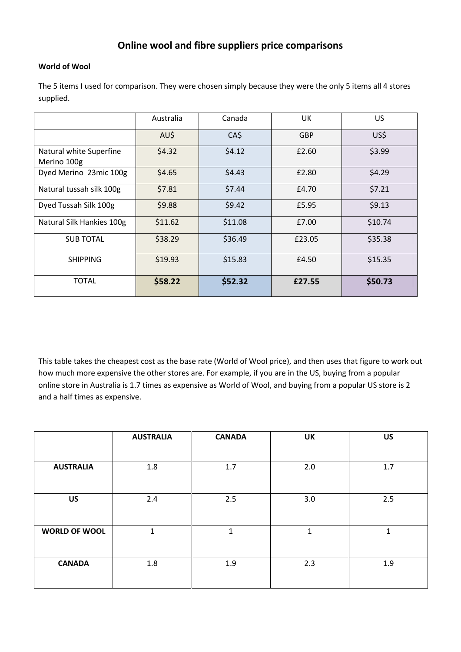## **Online wool and fibre suppliers price comparisons**

## **World of Wool**

The 5 items I used for comparison. They were chosen simply because they were the only 5 items all 4 stores supplied.

|                                        | Australia | Canada  | UK         | US      |  |
|----------------------------------------|-----------|---------|------------|---------|--|
|                                        | AU\$      | CA\$    | <b>GBP</b> | US\$    |  |
| Natural white Superfine<br>Merino 100g | \$4.32    | \$4.12  | £2.60      | \$3.99  |  |
| Dyed Merino 23mic 100g                 | \$4.65    | \$4.43  | £2.80      | \$4.29  |  |
| Natural tussah silk 100g               | \$7.81    | \$7.44  | £4.70      | \$7.21  |  |
| Dyed Tussah Silk 100g                  | \$9.88    | \$9.42  | £5.95      | \$9.13  |  |
| Natural Silk Hankies 100g              | \$11.62   | \$11.08 | £7.00      | \$10.74 |  |
| <b>SUB TOTAL</b>                       | \$38.29   | \$36.49 | £23.05     | \$35.38 |  |
| <b>SHIPPING</b>                        | \$19.93   | \$15.83 | £4.50      | \$15.35 |  |
| <b>TOTAL</b>                           | \$58.22   | \$52.32 | £27.55     | \$50.73 |  |

This table takes the cheapest cost as the base rate (World of Wool price), and then uses that figure to work out how much more expensive the other stores are. For example, if you are in the US, buying from a popular online store in Australia is 1.7 times as expensive as World of Wool, and buying from a popular US store is 2 and a half times as expensive.

|                      | <b>AUSTRALIA</b> | <b>CANADA</b> | <b>UK</b>   | <b>US</b>   |  |
|----------------------|------------------|---------------|-------------|-------------|--|
|                      |                  |               |             |             |  |
| <b>AUSTRALIA</b>     | $1.8\,$          | 1.7           | 2.0         | 1.7         |  |
| <b>US</b>            | 2.4              | 2.5           | 3.0         | 2.5         |  |
| <b>WORLD OF WOOL</b> | 1                | 1             | $\mathbf 1$ | $\mathbf 1$ |  |
| <b>CANADA</b>        | 1.8              | 1.9           | 2.3         | 1.9         |  |